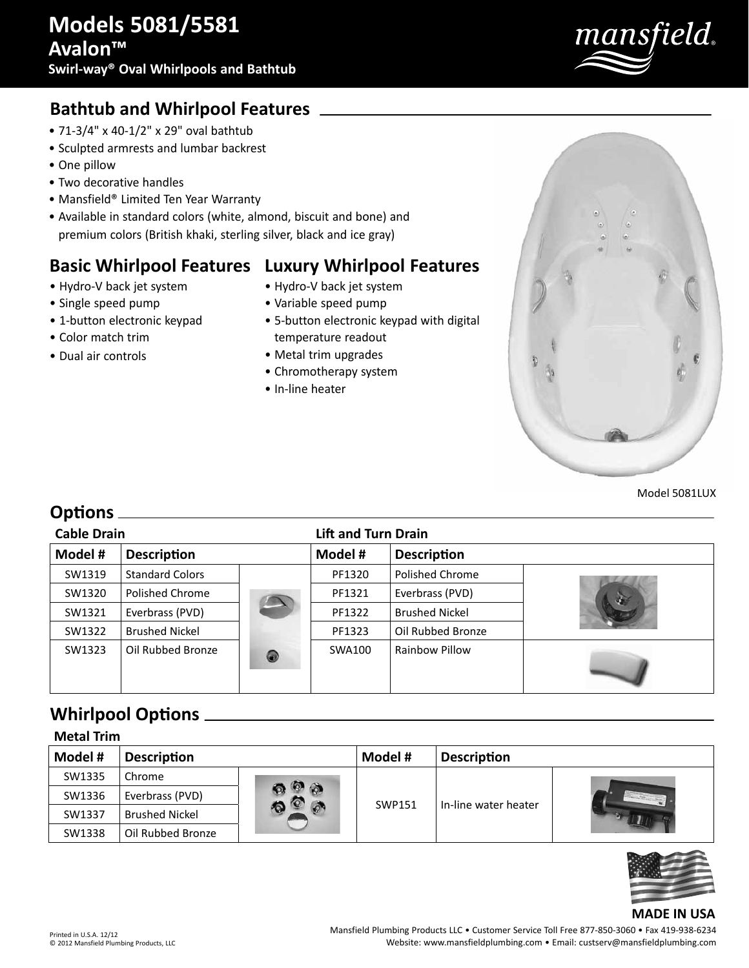

## **Bathtub and Whirlpool Features**

- 71-3/4" x 40-1/2" x 29" oval bathtub
- Sculpted armrests and lumbar backrest
- One pillow
- Two decorative handles
- Mansfield® Limited Ten Year Warranty
- Available in standard colors (white, almond, biscuit and bone) and premium colors (British khaki, sterling silver, black and ice gray)

## **Basic Whirlpool Features Luxury Whirlpool Features**

- Hydro-V back jet system
- Single speed pump
- 1-button electronic keypad
- Color match trim
- Dual air controls
- Hydro-V back jet system
- Variable speed pump
- 5-button electronic keypad with digital temperature readout
- Metal trim upgrades
- Chromotherapy system
- In-line heater



Model 5081LUX

### **Options**

| <b>Cable Drain</b> |                        |                | <b>Lift and Turn Drain</b> |                       |    |
|--------------------|------------------------|----------------|----------------------------|-----------------------|----|
| Model #            | <b>Description</b>     |                | Model #                    | <b>Description</b>    |    |
| SW1319             | <b>Standard Colors</b> |                | PF1320                     | Polished Chrome       |    |
| SW1320             | Polished Chrome        |                | PF1321                     | Everbrass (PVD)       | o. |
| SW1321             | Everbrass (PVD)        |                | PF1322                     | <b>Brushed Nickel</b> |    |
| SW1322             | <b>Brushed Nickel</b>  |                | PF1323                     | Oil Rubbed Bronze     |    |
| SW1323             | Oil Rubbed Bronze      | $\circledcirc$ | SWA100                     | Rainbow Pillow        |    |

## **Whirlpool Options**

| <b>Metal Trim</b> |                       |    |         |                      |  |  |
|-------------------|-----------------------|----|---------|----------------------|--|--|
| Model #           | <b>Description</b>    |    | Model # | <b>Description</b>   |  |  |
| SW1335            | Chrome                |    |         |                      |  |  |
| SW1336            | Everbrass (PVD)       | ۵Ñ | SWP151  | In-line water heater |  |  |
| SW1337            | <b>Brushed Nickel</b> |    |         |                      |  |  |
| SW1338            | Oil Rubbed Bronze     |    |         |                      |  |  |



### **MADE IN USA**